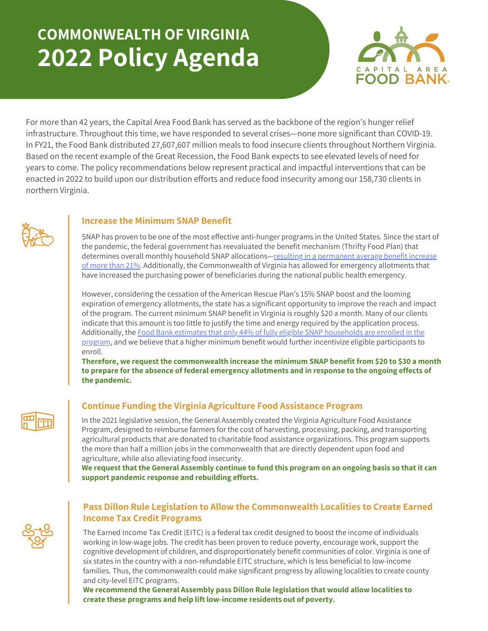# **COMMONWEALTH OF VIRGINIA 2022 Policy Agenda**



For more than 42 years, the Capital Area Food Bank has served as the backbone of the region's hunger relief infrastructure. Throughout this time, we have responded to several crises—none more significant than COVID-19. In FY21, the Food Bank distributed 27,607,607 million meals to food insecure clients throughout Northern Virginia. Based on the recent example of the Great Recession, the Food Bank expects to see elevated levels of need for years to come. The policy recommendations below represent practical and impactful interventions that can be enacted in 2022 to build upon our distribution efforts and reduce food insecurity among our 158,730 clients in northern Virginia.



## **Increase the Minimum SNAP Benefit**

SNAP has proven to be one of the most effective anti-hunger programs in the United States. Since the start of the pandemic, the federal government has reevaluated the benefit mechanism (Thrifty Food Plan) that determines overall monthly household SNAP [allocations—resulting](https://www.cbpp.org/research/food-assistance/usda-announces-important-snap-benefit-modernization#:~:text=The%2021%20percent%20increase%20in,day%20in%20fiscal%20year%202022.) in a permanent average benefit increase of more than 21[%.](https://www.cbpp.org/research/food-assistance/usda-announces-important-snap-benefit-modernization#:~:text=The%2021%20percent%20increase%20in,day%20in%20fiscal%20year%202022.) Additionally, the Commonwealth of Virginia has allowed for emergency allotments that have increased the purchasing power of beneficiaries during the national public health emergency.

However, considering the cessation of the American Rescue Plan's 15% SNAP boost and the looming expiration of emergency allotments, the state has a significant opportunity to improve the reach and impact of the program. The current minimum SNAP benefit in Virginia is roughly \$20 a month. Many of our clients indicate that this amount is too little to justify the time and energy required by the application process. [Additionally,](https://hunger-report.capitalareafoodbank.org/) [the](https://hunger-report.capitalareafoodbank.org/) Food Bank estimates that only 44% of fully eligible SNAP households are enrolled in the program, and we believe that a higher minimum benefit would further incentivize eligible participants to enroll.

**Therefore, we request the commonwealth increase the minimum SNAP benefit from \$20 to \$30 a month to prepare for the absence of federal emergency allotments and in response to the ongoing effects of the pandemic.**



## **Continue Funding the Virginia Agriculture Food Assistance Program**

In the 2021 legislative session, the General Assembly created the Virginia Agriculture Food Assistance Program, designed to reimburse farmers for the cost of harvesting, processing, packing, and transporting agricultural products that are donated to charitable food assistance organizations. This program supports the more than half a million jobs in the commonwealth that are directly dependent upon food and agriculture, while also alleviating food insecurity.

We request that the General Assembly continue to fund this program on an ongoing basis so that it can **support pandemic response and rebuilding efforts.**



#### **Pass Dillon Rule Legislation to Allow the Commonwealth Localities to Create Earned Income Tax Credit Programs**

The Earned Income Tax Credit (EITC) is a federal tax credit designed to boost the income of individuals working in low-wage jobs. The credit has been proven to reduce poverty, encourage work, support the cognitive development of children, and disproportionately benefit communities of color. Virginia is one of six states in the country with a non-refundable EITC structure, which is less beneficial to low-income families. Thus, the commonwealth could make significant progress by allowing localities to create county and city-level EITC programs.

**We recommend the General Assembly pass Dillon Rule legislation that would allow localities to create these programs and help lift low-income residents out of poverty.**